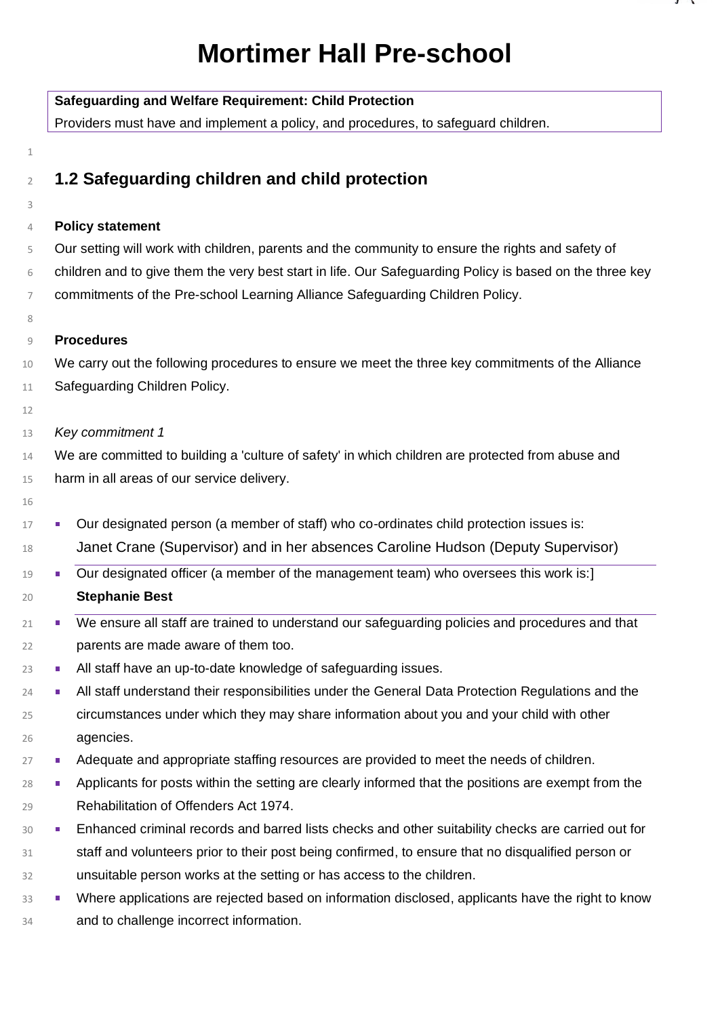# **Mortimer Hall Pre-school**

|                | <b>Safeguarding and Welfare Requirement: Child Protection</b><br>Providers must have and implement a policy, and procedures, to safeguard children. |  |  |  |
|----------------|-----------------------------------------------------------------------------------------------------------------------------------------------------|--|--|--|
|                |                                                                                                                                                     |  |  |  |
| 1              |                                                                                                                                                     |  |  |  |
| $\overline{2}$ | 1.2 Safeguarding children and child protection                                                                                                      |  |  |  |
| 3              |                                                                                                                                                     |  |  |  |
| 4              | <b>Policy statement</b>                                                                                                                             |  |  |  |
| 5              | Our setting will work with children, parents and the community to ensure the rights and safety of                                                   |  |  |  |
| 6              | children and to give them the very best start in life. Our Safeguarding Policy is based on the three key                                            |  |  |  |
| $\overline{7}$ | commitments of the Pre-school Learning Alliance Safeguarding Children Policy.                                                                       |  |  |  |
| 8              |                                                                                                                                                     |  |  |  |
| 9              | <b>Procedures</b>                                                                                                                                   |  |  |  |
| 10             | We carry out the following procedures to ensure we meet the three key commitments of the Alliance                                                   |  |  |  |
| 11             | Safeguarding Children Policy.                                                                                                                       |  |  |  |
| 12             |                                                                                                                                                     |  |  |  |
| 13             | Key commitment 1                                                                                                                                    |  |  |  |
| 14             | We are committed to building a 'culture of safety' in which children are protected from abuse and                                                   |  |  |  |
| 15             | harm in all areas of our service delivery.                                                                                                          |  |  |  |
| 16             |                                                                                                                                                     |  |  |  |
| 17             | Our designated person (a member of staff) who co-ordinates child protection issues is:<br>ш                                                         |  |  |  |
| 18             | Janet Crane (Supervisor) and in her absences Caroline Hudson (Deputy Supervisor)                                                                    |  |  |  |
| 19             | Our designated officer (a member of the management team) who oversees this work is:]<br>ш                                                           |  |  |  |
| 20             | <b>Stephanie Best</b>                                                                                                                               |  |  |  |
| 21             | We ensure all staff are trained to understand our safeguarding policies and procedures and that                                                     |  |  |  |
| 22             | parents are made aware of them too.                                                                                                                 |  |  |  |
| 23             | All staff have an up-to-date knowledge of safeguarding issues.<br>ш                                                                                 |  |  |  |
| 24             | All staff understand their responsibilities under the General Data Protection Regulations and the<br>$\overline{\phantom{a}}$                       |  |  |  |
| 25             | circumstances under which they may share information about you and your child with other                                                            |  |  |  |
| 26             | agencies.                                                                                                                                           |  |  |  |
| 27             | Adequate and appropriate staffing resources are provided to meet the needs of children.<br>٠                                                        |  |  |  |
| 28             | Applicants for posts within the setting are clearly informed that the positions are exempt from the<br>ш                                            |  |  |  |
| 29             | Rehabilitation of Offenders Act 1974.                                                                                                               |  |  |  |
| 30             | Enhanced criminal records and barred lists checks and other suitability checks are carried out for<br>٠                                             |  |  |  |
| 31             | staff and volunteers prior to their post being confirmed, to ensure that no disqualified person or                                                  |  |  |  |
| 32             | unsuitable person works at the setting or has access to the children.                                                                               |  |  |  |
| 33             | Where applications are rejected based on information disclosed, applicants have the right to know<br>٠                                              |  |  |  |
| 34             | and to challenge incorrect information.                                                                                                             |  |  |  |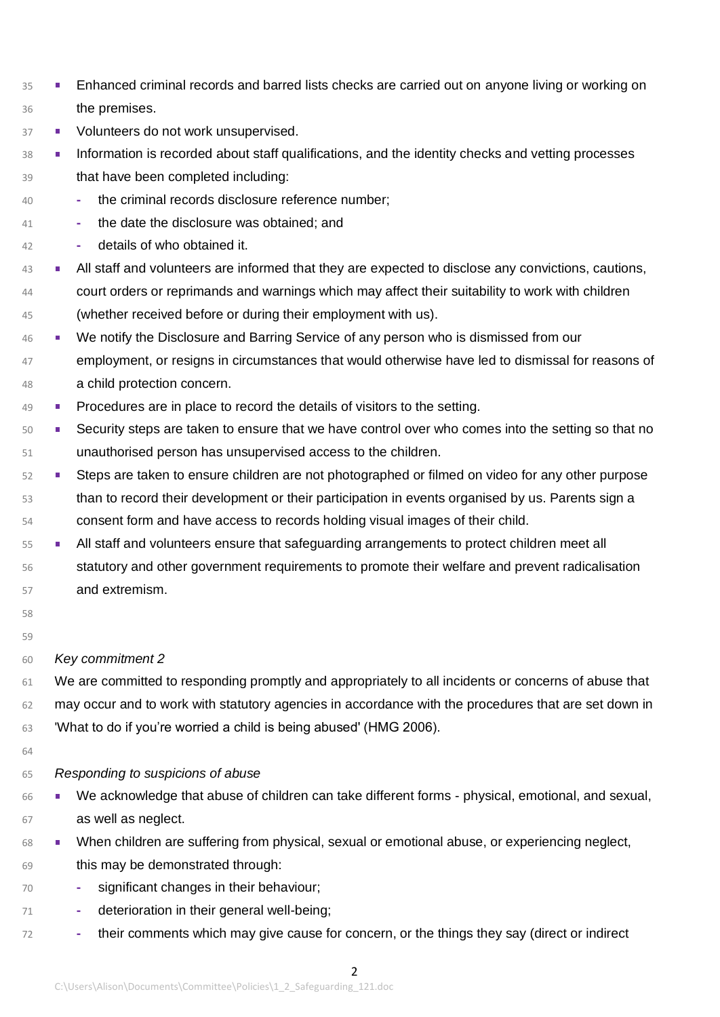- <sup>35</sup> Enhanced criminal records and barred lists checks are carried out on anyone living or working on the premises.
- 37 Volunteers do not work unsupervised.
- **Information is recorded about staff qualifications, and the identity checks and vetting processes** that have been completed including:
- **-** the criminal records disclosure reference number;
- **-** the date the disclosure was obtained; and
- **-** details of who obtained it.
- **All staff and volunteers are informed that they are expected to disclose any convictions, cautions,**  court orders or reprimands and warnings which may affect their suitability to work with children (whether received before or during their employment with us).
- We notify the Disclosure and Barring Service of any person who is dismissed from our 47 employment, or resigns in circumstances that would otherwise have led to dismissal for reasons of a child protection concern.
- Procedures are in place to record the details of visitors to the setting.
- **Security steps are taken to ensure that we have control over who comes into the setting so that no** unauthorised person has unsupervised access to the children.
- 52 Steps are taken to ensure children are not photographed or filmed on video for any other purpose than to record their development or their participation in events organised by us. Parents sign a consent form and have access to records holding visual images of their child.
- All staff and volunteers ensure that safeguarding arrangements to protect children meet all
- 56 statutory and other government requirements to promote their welfare and prevent radicalisation and extremism.
- 

## 

*Key commitment 2*

 We are committed to responding promptly and appropriately to all incidents or concerns of abuse that may occur and to work with statutory agencies in accordance with the procedures that are set down in 'What to do if you're worried a child is being abused' (HMG 2006).

## *Responding to suspicions of abuse*

- We acknowledge that abuse of children can take different forms physical, emotional, and sexual, as well as neglect.
- 68 When children are suffering from physical, sexual or emotional abuse, or experiencing neglect,
- this may be demonstrated through:
- **-** significant changes in their behaviour;
- **-** deterioration in their general well-being;
- **-** their comments which may give cause for concern, or the things they say (direct or indirect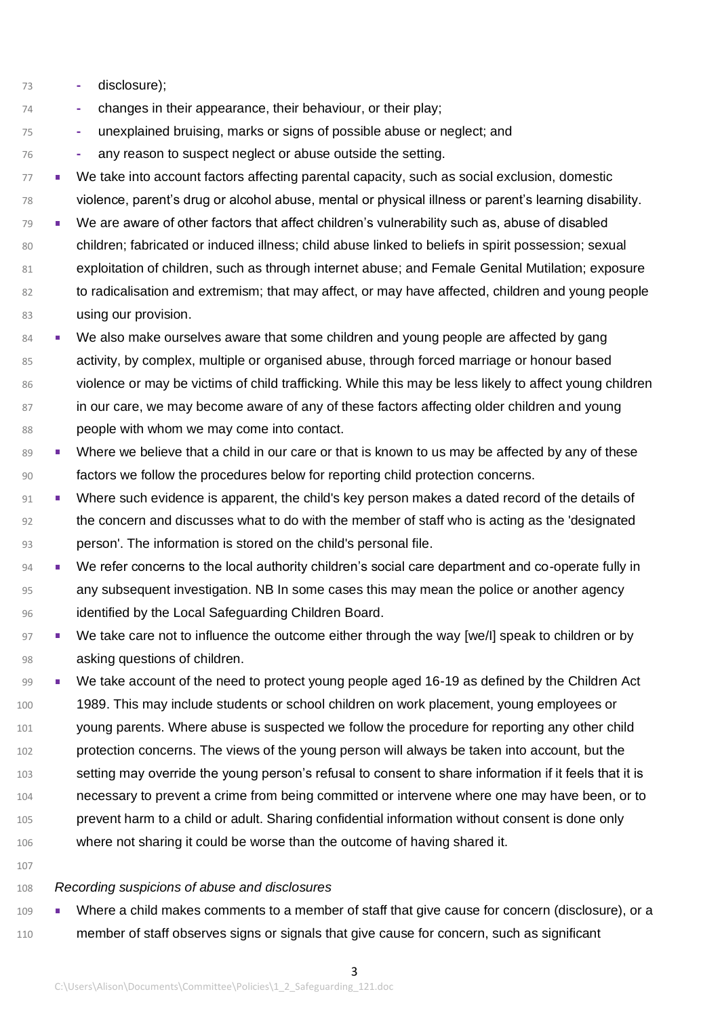- **-** disclosure);
- **-** changes in their appearance, their behaviour, or their play;
- **-** unexplained bruising, marks or signs of possible abuse or neglect; and
- **-** any reason to suspect neglect or abuse outside the setting.
- 77 We take into account factors affecting parental capacity, such as social exclusion, domestic violence, parent's drug or alcohol abuse, mental or physical illness or parent's learning disability.
- 79 We are aware of other factors that affect children's vulnerability such as, abuse of disabled 80 children; fabricated or induced illness; child abuse linked to beliefs in spirit possession; sexual exploitation of children, such as through internet abuse; and Female Genital Mutilation; exposure to radicalisation and extremism; that may affect, or may have affected, children and young people **using our provision.**
- 84 We also make ourselves aware that some children and young people are affected by gang activity, by complex, multiple or organised abuse, through forced marriage or honour based violence or may be victims of child trafficking. While this may be less likely to affect young children in our care, we may become aware of any of these factors affecting older children and young people with whom we may come into contact.
- 89 Where we believe that a child in our care or that is known to us may be affected by any of these factors we follow the procedures below for reporting child protection concerns.
- Where such evidence is apparent, the child's key person makes a dated record of the details of 92 the concern and discusses what to do with the member of staff who is acting as the 'designated person'. The information is stored on the child's personal file.
- 94 We refer concerns to the local authority children's social care department and co-operate fully in any subsequent investigation. NB In some cases this may mean the police or another agency 96 identified by the Local Safeguarding Children Board.
- 97 We take care not to influence the outcome either through the way [we/I] speak to children or by asking questions of children.
- We take account of the need to protect young people aged 16-19 as defined by the Children Act 1989. This may include students or school children on work placement, young employees or 101 young parents. Where abuse is suspected we follow the procedure for reporting any other child protection concerns. The views of the young person will always be taken into account, but the setting may override the young person's refusal to consent to share information if it feels that it is necessary to prevent a crime from being committed or intervene where one may have been, or to prevent harm to a child or adult. Sharing confidential information without consent is done only where not sharing it could be worse than the outcome of having shared it.
- 

## *Recording suspicions of abuse and disclosures*

 Where a child makes comments to a member of staff that give cause for concern (disclosure), or a 110 member of staff observes signs or signals that give cause for concern, such as significant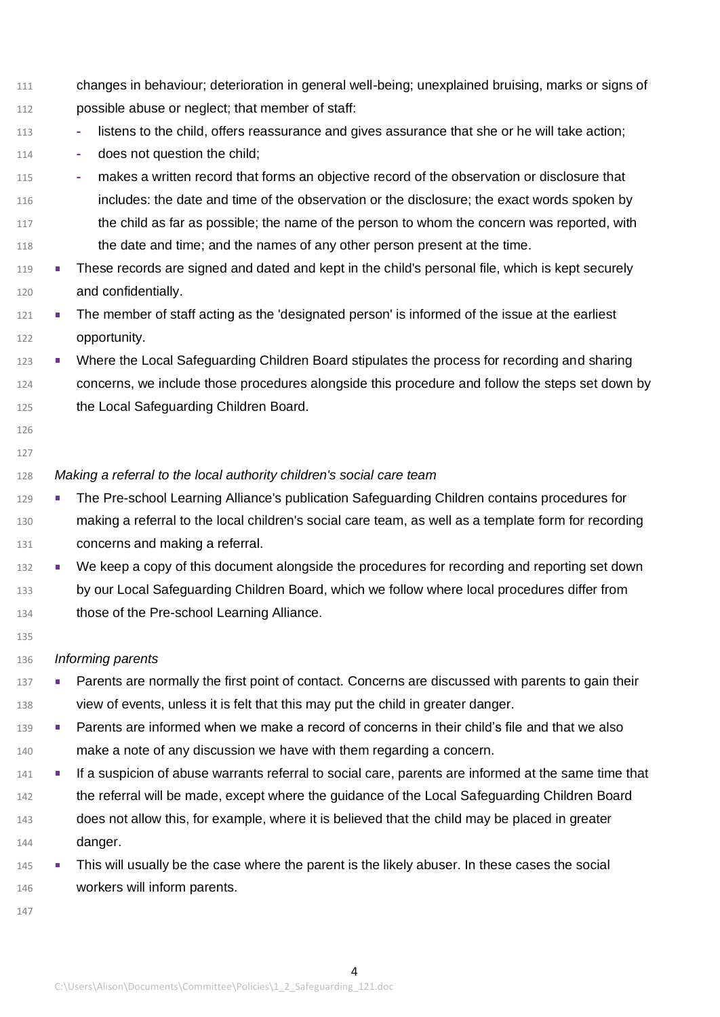- changes in behaviour; deterioration in general well-being; unexplained bruising, marks or signs of possible abuse or neglect; that member of staff:
- **-** listens to the child, offers reassurance and gives assurance that she or he will take action;
- **-** does not question the child;

 **-** makes a written record that forms an objective record of the observation or disclosure that includes: the date and time of the observation or the disclosure; the exact words spoken by the child as far as possible; the name of the person to whom the concern was reported, with the date and time; and the names of any other person present at the time.

- **These records are signed and dated and kept in the child's personal file, which is kept securely** and confidentially.
- 121 The member of staff acting as the 'designated person' is informed of the issue at the earliest opportunity.
- 123 Where the Local Safeguarding Children Board stipulates the process for recording and sharing concerns, we include those procedures alongside this procedure and follow the steps set down by the Local Safeguarding Children Board.
- 

## *Making a referral to the local authority children's social care team*

- 129 The Pre-school Learning Alliance's publication Safeguarding Children contains procedures for making a referral to the local children's social care team, as well as a template form for recording concerns and making a referral.
- 132 We keep a copy of this document alongside the procedures for recording and reporting set down by our Local Safeguarding Children Board, which we follow where local procedures differ from
- 134 those of the Pre-school Learning Alliance.
- 

# *Informing parents*

- 137 Parents are normally the first point of contact. Concerns are discussed with parents to gain their view of events, unless it is felt that this may put the child in greater danger.
- 139 Parents are informed when we make a record of concerns in their child's file and that we also 140 make a note of any discussion we have with them regarding a concern.
- **If a suspicion of abuse warrants referral to social care, parents are informed at the same time that** 142 the referral will be made, except where the guidance of the Local Safeguarding Children Board does not allow this, for example, where it is believed that the child may be placed in greater danger.
- 145 This will usually be the case where the parent is the likely abuser. In these cases the social workers will inform parents.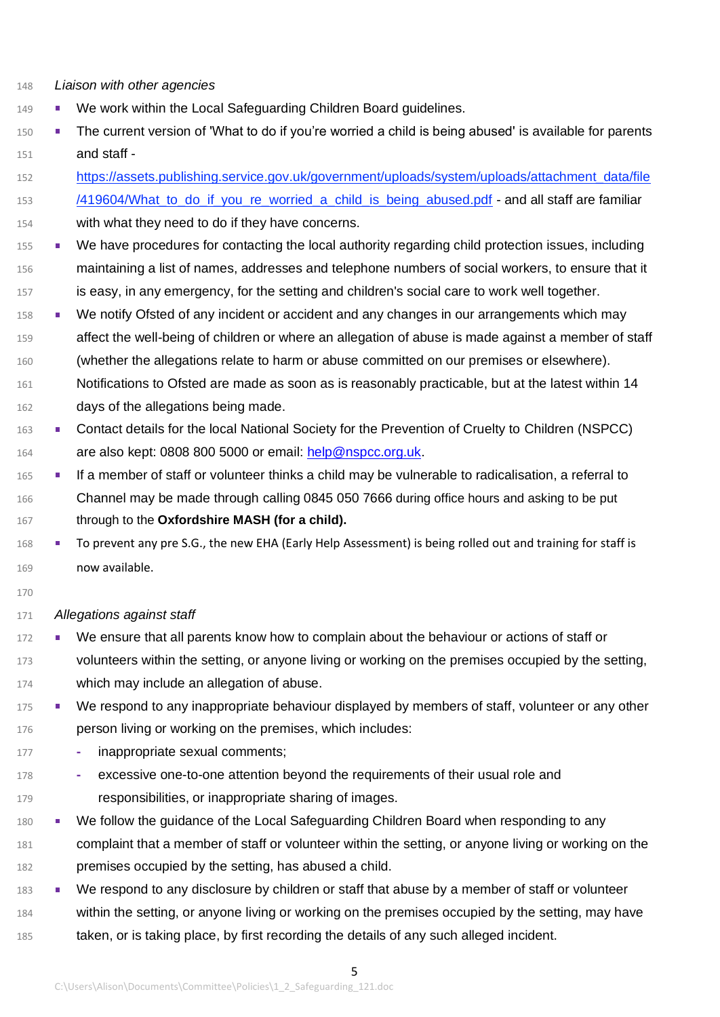- *Liaison with other agencies*
- 149 We work within the Local Safeguarding Children Board guidelines.
- The current version of 'What to do if you're worried a child is being abused' is available for parents and staff -
- https://assets.publishing.service.gov.uk/government/uploads/system/uploads/attachment\_data/file 153 /419604/What to do if you re worried a child is being abused.pdf - and all staff are familiar with what they need to do if they have concerns.
- 155 We have procedures for contacting the local authority regarding child protection issues, including maintaining a list of names, addresses and telephone numbers of social workers, to ensure that it is easy, in any emergency, for the setting and children's social care to work well together.
- 158 We notify Ofsted of any incident or accident and any changes in our arrangements which may
- affect the well-being of children or where an allegation of abuse is made against a member of staff (whether the allegations relate to harm or abuse committed on our premises or elsewhere).
- Notifications to Ofsted are made as soon as is reasonably practicable, but at the latest within 14 days of the allegations being made.
- 163 Contact details for the local National Society for the Prevention of Cruelty to Children (NSPCC) 164 are also kept: 0808 800 5000 or email: [help@nspcc.org.uk.](mailto:help@nspcc.org.uk)
- If a member of staff or volunteer thinks a child may be vulnerable to radicalisation, a referral to Channel may be made through calling 0845 050 7666 during office hours and asking to be put through to the **Oxfordshire MASH (for a child).**
- 168 To prevent any pre S.G., the new EHA (Early Help Assessment) is being rolled out and training for staff is now available.
- 

## *Allegations against staff*

- 172 We ensure that all parents know how to complain about the behaviour or actions of staff or volunteers within the setting, or anyone living or working on the premises occupied by the setting, which may include an allegation of abuse.
- 175 We respond to any inappropriate behaviour displayed by members of staff, volunteer or any other **person living or working on the premises, which includes:**
- **-** inappropriate sexual comments;
- **-** excessive one-to-one attention beyond the requirements of their usual role and responsibilities, or inappropriate sharing of images.
- 180 We follow the guidance of the Local Safeguarding Children Board when responding to any complaint that a member of staff or volunteer within the setting, or anyone living or working on the premises occupied by the setting, has abused a child.
- 183 We respond to any disclosure by children or staff that abuse by a member of staff or volunteer
- within the setting, or anyone living or working on the premises occupied by the setting, may have taken, or is taking place, by first recording the details of any such alleged incident.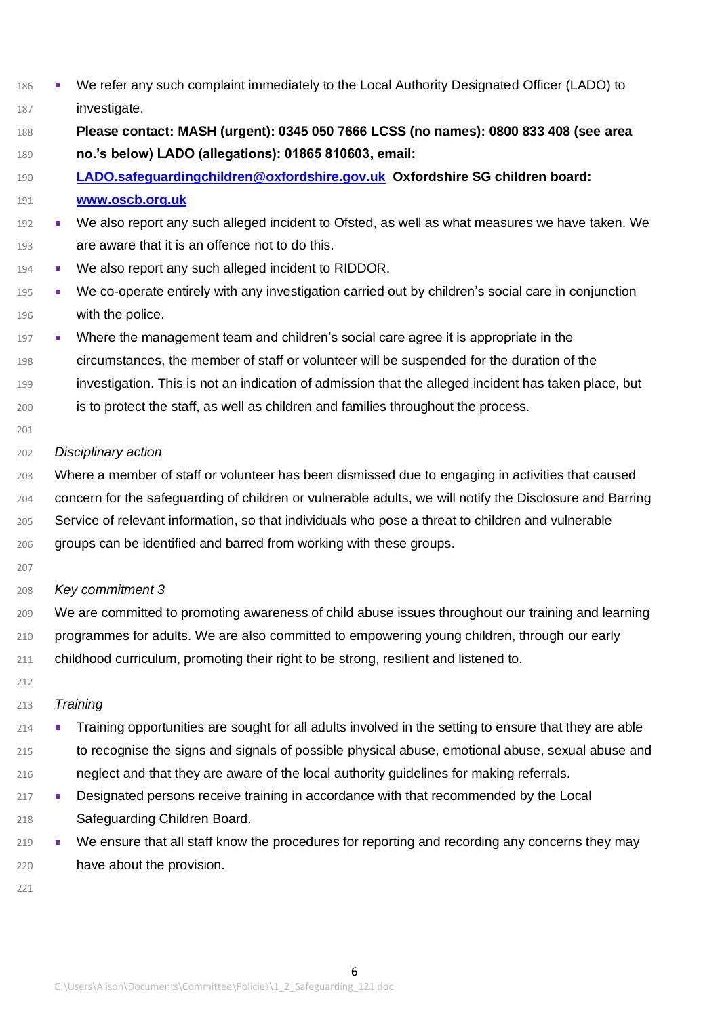| 186 |                                                                                                          | We refer any such complaint immediately to the Local Authority Designated Officer (LADO) to           |  |  |
|-----|----------------------------------------------------------------------------------------------------------|-------------------------------------------------------------------------------------------------------|--|--|
| 187 |                                                                                                          | investigate.                                                                                          |  |  |
| 188 | Please contact: MASH (urgent): 0345 050 7666 LCSS (no names): 0800 833 408 (see area                     |                                                                                                       |  |  |
| 189 | no.'s below) LADO (allegations): 01865 810603, email:                                                    |                                                                                                       |  |  |
| 190 |                                                                                                          | LADO.safeguardingchildren@oxfordshire.gov.uk Oxfordshire SG children board:                           |  |  |
| 191 |                                                                                                          | www.oscb.org.uk                                                                                       |  |  |
| 192 | ш                                                                                                        | We also report any such alleged incident to Ofsted, as well as what measures we have taken. We        |  |  |
| 193 |                                                                                                          | are aware that it is an offence not to do this.                                                       |  |  |
| 194 | $\blacksquare$                                                                                           | We also report any such alleged incident to RIDDOR.                                                   |  |  |
| 195 | $\blacksquare$                                                                                           | We co-operate entirely with any investigation carried out by children's social care in conjunction    |  |  |
| 196 |                                                                                                          | with the police.                                                                                      |  |  |
| 197 | ш                                                                                                        | Where the management team and children's social care agree it is appropriate in the                   |  |  |
| 198 |                                                                                                          | circumstances, the member of staff or volunteer will be suspended for the duration of the             |  |  |
| 199 |                                                                                                          | investigation. This is not an indication of admission that the alleged incident has taken place, but  |  |  |
| 200 |                                                                                                          | is to protect the staff, as well as children and families throughout the process.                     |  |  |
| 201 |                                                                                                          |                                                                                                       |  |  |
| 202 |                                                                                                          | Disciplinary action                                                                                   |  |  |
| 203 |                                                                                                          | Where a member of staff or volunteer has been dismissed due to engaging in activities that caused     |  |  |
| 204 | concern for the safeguarding of children or vulnerable adults, we will notify the Disclosure and Barring |                                                                                                       |  |  |
| 205 |                                                                                                          | Service of relevant information, so that individuals who pose a threat to children and vulnerable     |  |  |
| 206 | groups can be identified and barred from working with these groups.                                      |                                                                                                       |  |  |
| 207 |                                                                                                          |                                                                                                       |  |  |
| 208 |                                                                                                          | Key commitment 3                                                                                      |  |  |
| 209 |                                                                                                          | We are committed to promoting awareness of child abuse issues throughout our training and learning    |  |  |
| 210 | programmes for adults. We are also committed to empowering young children, through our early             |                                                                                                       |  |  |
| 211 | childhood curriculum, promoting their right to be strong, resilient and listened to.                     |                                                                                                       |  |  |
| 212 |                                                                                                          |                                                                                                       |  |  |
| 213 |                                                                                                          | Training                                                                                              |  |  |
| 214 |                                                                                                          | Training opportunities are sought for all adults involved in the setting to ensure that they are able |  |  |
| 215 |                                                                                                          | to recognise the signs and signals of possible physical abuse, emotional abuse, sexual abuse and      |  |  |
| 216 |                                                                                                          | neglect and that they are aware of the local authority guidelines for making referrals.               |  |  |
| 217 | ш                                                                                                        | Designated persons receive training in accordance with that recommended by the Local                  |  |  |
| 218 |                                                                                                          | Safeguarding Children Board.                                                                          |  |  |
| 219 |                                                                                                          | We ensure that all staff know the procedures for reporting and recording any concerns they may        |  |  |
| 220 |                                                                                                          | have about the provision.                                                                             |  |  |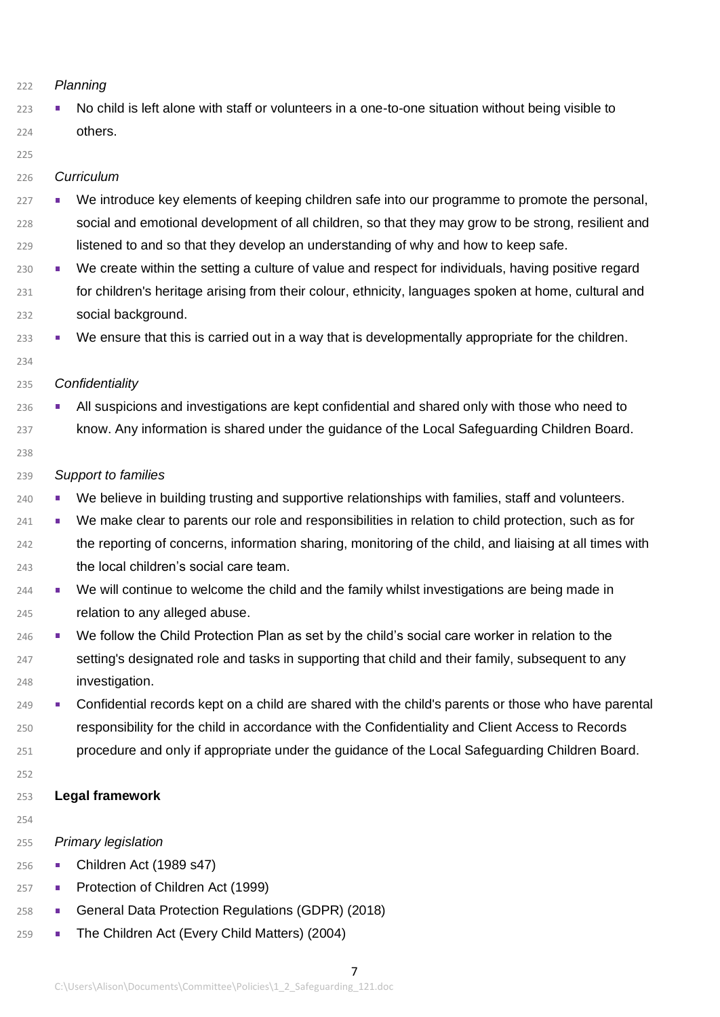## *Planning*

223 No child is left alone with staff or volunteers in a one-to-one situation without being visible to others.

#### 

## *Curriculum*

- <sup>227</sup> We introduce key elements of keeping children safe into our programme to promote the personal, social and emotional development of all children, so that they may grow to be strong, resilient and listened to and so that they develop an understanding of why and how to keep safe.
- We create within the setting a culture of value and respect for individuals, having positive regard for children's heritage arising from their colour, ethnicity, languages spoken at home, cultural and social background.
- <sup>233</sup> We ensure that this is carried out in a way that is developmentally appropriate for the children.
- 

## *Confidentiality*

- 236 All suspicions and investigations are kept confidential and shared only with those who need to know. Any information is shared under the guidance of the Local Safeguarding Children Board.
- 

## *Support to families*

- <sup>240</sup> We believe in building trusting and supportive relationships with families, staff and volunteers.
- <sup>241</sup> We make clear to parents our role and responsibilities in relation to child protection, such as for the reporting of concerns, information sharing, monitoring of the child, and liaising at all times with the local children's social care team.
- We will continue to welcome the child and the family whilst investigations are being made in relation to any alleged abuse.
- 246 We follow the Child Protection Plan as set by the child's social care worker in relation to the 247 setting's designated role and tasks in supporting that child and their family, subsequent to any investigation.
- 249 Confidential records kept on a child are shared with the child's parents or those who have parental responsibility for the child in accordance with the Confidentiality and Client Access to Records procedure and only if appropriate under the guidance of the Local Safeguarding Children Board.
- 

## **Legal framework**

## *Primary legislation*

- Children Act (1989 s47)
- 257 Protection of Children Act (1999)
- 258 General Data Protection Regulations (GDPR) (2018)
- **The Children Act (Every Child Matters) (2004)**